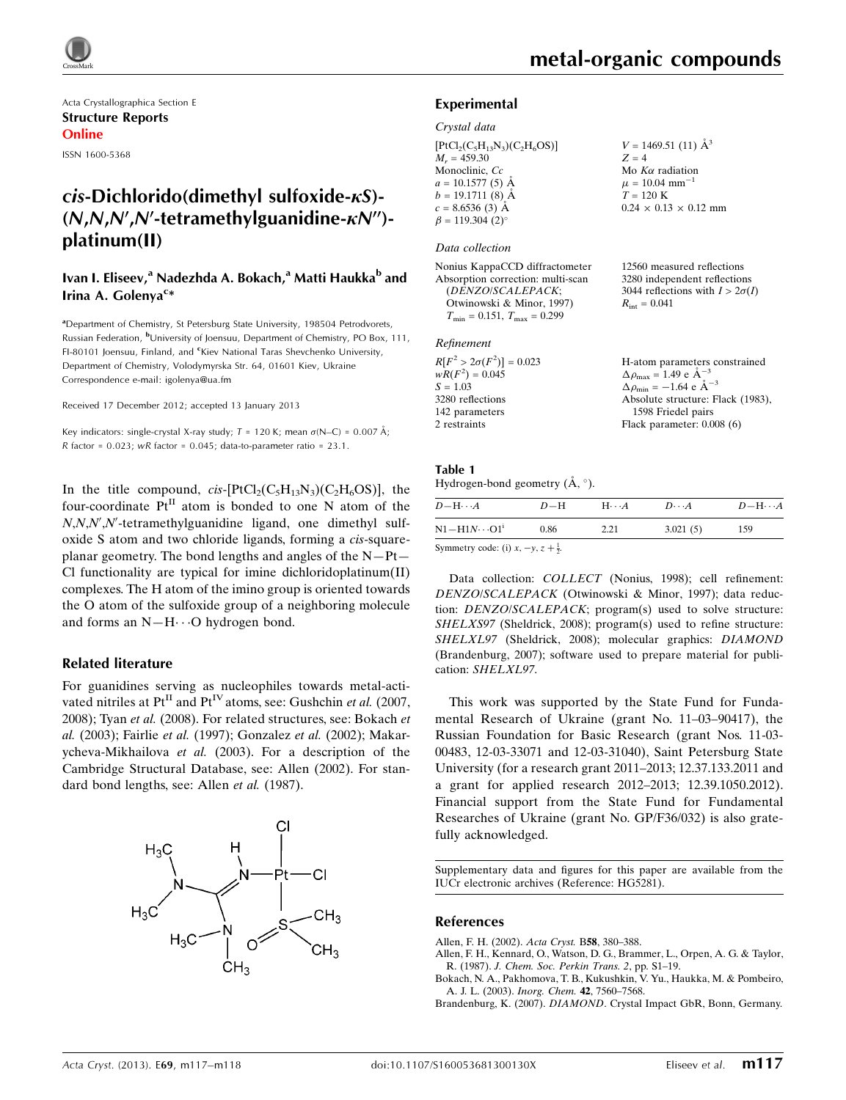

Acta Crystallographica Section E Structure Reports Online

ISSN 1600-5368

# $cis$ -Dichlorido(dimethyl sulfoxide- $\kappa$ S)- $(N, N, N', N'$ -tetramethylguanidine- $\kappa N''$ )platinum(II)

## Ivan I. Eliseev,<sup>a</sup> Nadezhda A. Bokach,<sup>a</sup> Matti Haukka<sup>b</sup> and Irina A. Golenya<sup>c\*</sup>

<sup>a</sup>Department of Chemistry, St Petersburg State University, 198504 Petrodvorets, Russian Federation, <sup>b</sup>University of Joensuu, Department of Chemistry, PO Box, 111, FI-80101 Joensuu, Finland, and <sup>c</sup>Kiev National Taras Shevchenko University, Department of Chemistry, Volodymyrska Str. 64, 01601 Kiev, Ukraine Correspondence e-mail: [igolenya@ua.fm](https://scripts.iucr.org/cgi-bin/cr.cgi?rm=pdfbb&cnor=hg5281&bbid=BB13)

Received 17 December 2012; accepted 13 January 2013

Key indicators: single-crystal X-ray study;  $T = 120$  K; mean  $\sigma$ (N–C) = 0.007 Å;  $R$  factor = 0.023;  $wR$  factor = 0.045; data-to-parameter ratio = 23.1.

In the title compound,  $cis$ -[PtCl<sub>2</sub>(C<sub>5</sub>H<sub>13</sub>N<sub>3</sub>)(C<sub>2</sub>H<sub>6</sub>OS)], the four-coordinate  $Pt^{II}$  atom is bonded to one N atom of the  $N, N, N', N'$ -tetramethylguanidine ligand, one dimethyl sulfoxide S atom and two chloride ligands, forming a cis-squareplanar geometry. The bond lengths and angles of the N—Pt— Cl functionality are typical for imine dichloridoplatinum(II) complexes. The H atom of the imino group is oriented towards the O atom of the sulfoxide group of a neighboring molecule and forms an N-H···O hydrogen bond.

### Related literature

For guanidines serving as nucleophiles towards metal-activated nitriles at  $Pt^{II}$  and  $Pt^{IV}$  atoms, see: Gushchin et al. (2007, 2008); Tyan et al. (2008). For related structures, see: Bokach et al. (2003); Fairlie et al. (1997); Gonzalez et al. (2002); Makarycheva-Mikhailova et al. (2003). For a description of the Cambridge Structural Database, see: Allen (2002). For standard bond lengths, see: Allen et al. (1987).



 $V = 1469.51(11)$   $\AA^3$ 

 $0.24 \times 0.13 \times 0.12$  mm

12560 measured reflections 3280 independent reflections 3044 reflections with  $I > 2\sigma(I)$ 

 $Z = 4$ Mo  $K\alpha$  radiation  $\mu = 10.04$  mm<sup>-1</sup>  $T = 120 K$ 

 $R_{\text{int}} = 0.041$ 

### Experimental

#### Crystal data

 $[PtCl<sub>2</sub>(C<sub>5</sub>H<sub>13</sub>N<sub>3</sub>)(C<sub>2</sub>H<sub>6</sub>OS)]$  $M_r = 459.30$ Monoclinic, Cc  $a = 10.1577(5)$  Å  $b = 19.1711(8)$  Å  $c = 8.6536(3)$  Å  $\beta = 119.304$  (2)<sup>o</sup>

#### Data collection

Nonius KappaCCD diffractometer Absorption correction: multi-scan (DENZO/SCALEPACK; Otwinowski & Minor, 1997)  $T_{\min} = 0.151, T_{\max} = 0.299$ 

#### Refinement

| $R[F^2 > 2\sigma(F^2)] = 0.023$ | H-atom parameters constrained                            |
|---------------------------------|----------------------------------------------------------|
| $wR(F^2) = 0.045$               | $\Delta \rho_{\text{max}} = 1.49 \text{ e A}^{-3}$       |
| $S = 1.03$                      | $\Delta \rho_{\rm min} = -1.64 \text{ e} \text{ Å}^{-3}$ |
| 3280 reflections                | Absolute structure: Flack (1983),                        |
| 142 parameters                  | 1598 Friedel pairs                                       |
| 2 restraints                    | Flack parameter: $0.008(6)$                              |
|                                 |                                                          |

#### Table 1 Hydrogen-bond geometry  $(\mathring{A}, \degree)$ .

| $D - H \cdots A$                           | $D-H$ | $H \cdot \cdot \cdot A$ | $D\cdots A$ | $D - H \cdots A$ |
|--------------------------------------------|-------|-------------------------|-------------|------------------|
| $N1 - H1N \cdots O1^i$                     | 0.86  | 2.21                    | 3.021(5)    | 159              |
| Symmetry code: (i) $r = v^2 + \frac{1}{2}$ |       |                         |             |                  |

Symmetry code: (i)  $x, -y, z + \frac{1}{2}$ .

Data collection: COLLECT (Nonius, 1998); cell refinement: DENZO/SCALEPACK (Otwinowski & Minor, 1997); data reduction: DENZO/SCALEPACK; program(s) used to solve structure: SHELXS97 (Sheldrick, 2008); program(s) used to refine structure: SHELXL97 (Sheldrick, 2008); molecular graphics: DIAMOND (Brandenburg, 2007); software used to prepare material for publication: SHELXL97.

This work was supported by the State Fund for Fundamental Research of Ukraine (grant No. 11–03–90417), the Russian Foundation for Basic Research (grant Nos. 11-03- 00483, 12-03-33071 and 12-03-31040), Saint Petersburg State University (for a research grant 2011–2013; 12.37.133.2011 and a grant for applied research 2012–2013; 12.39.1050.2012). Financial support from the State Fund for Fundamental Researches of Ukraine (grant No. GP/F36/032) is also gratefully acknowledged.

Supplementary data and figures for this paper are available from the IUCr electronic archives (Reference: HG5281).

### References

- [Allen, F. H. \(2002\).](https://scripts.iucr.org/cgi-bin/cr.cgi?rm=pdfbb&cnor=hg5281&bbid=BB1) Acta Cryst. B58, 380–388.
- [Allen, F. H., Kennard, O., Watson, D. G., Brammer, L., Orpen, A. G. & Taylor,](https://scripts.iucr.org/cgi-bin/cr.cgi?rm=pdfbb&cnor=hg5281&bbid=BB14) R. (1987). [J. Chem. Soc. Perkin Trans. 2](https://scripts.iucr.org/cgi-bin/cr.cgi?rm=pdfbb&cnor=hg5281&bbid=BB14), pp. S1–19.
- [Bokach, N. A., Pakhomova, T. B., Kukushkin, V. Yu., Haukka, M. & Pombeiro,](https://scripts.iucr.org/cgi-bin/cr.cgi?rm=pdfbb&cnor=hg5281&bbid=BB2) [A. J. L. \(2003\).](https://scripts.iucr.org/cgi-bin/cr.cgi?rm=pdfbb&cnor=hg5281&bbid=BB2) Inorg. Chem. 42, 7560–7568.
- Brandenburg, K. (2007). DIAMOND[. Crystal Impact GbR, Bonn, Germany.](https://scripts.iucr.org/cgi-bin/cr.cgi?rm=pdfbb&cnor=hg5281&bbid=BB3)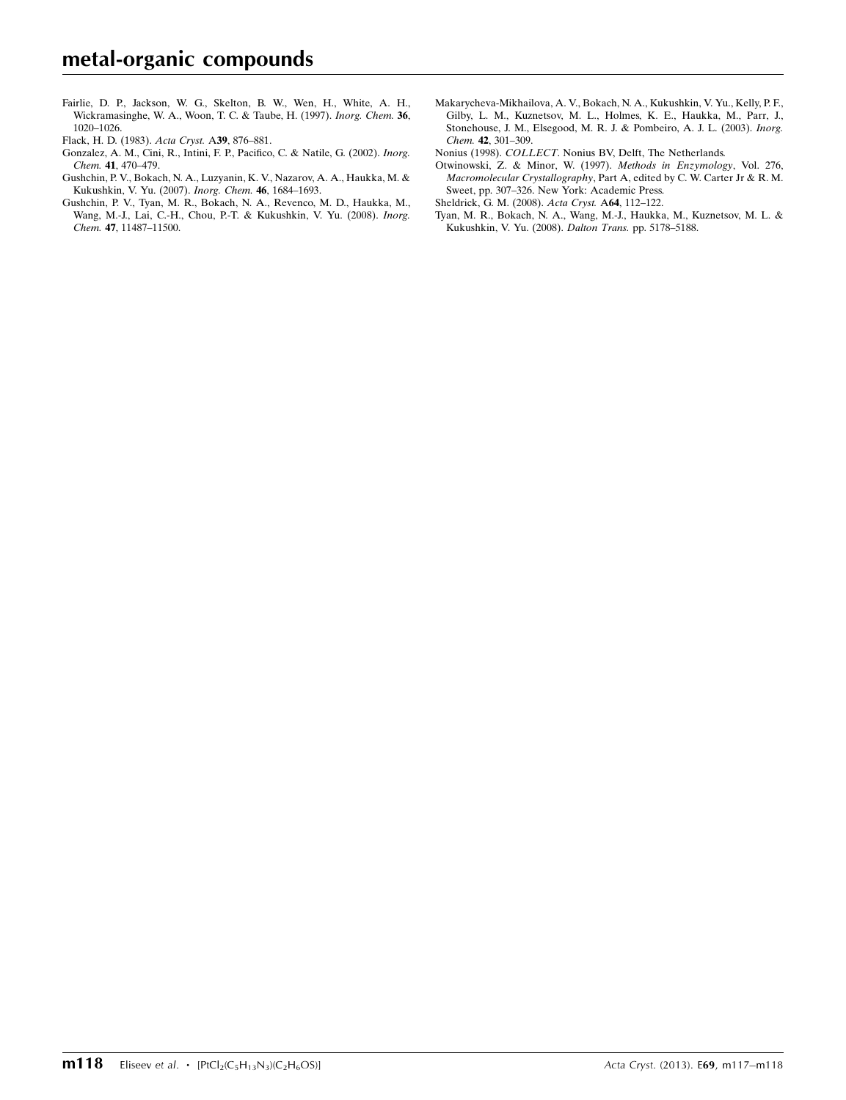[Fairlie, D. P., Jackson, W. G., Skelton, B. W., Wen, H., White, A. H.,](https://scripts.iucr.org/cgi-bin/cr.cgi?rm=pdfbb&cnor=hg5281&bbid=BB5) [Wickramasinghe, W. A., Woon, T. C. & Taube, H. \(1997\).](https://scripts.iucr.org/cgi-bin/cr.cgi?rm=pdfbb&cnor=hg5281&bbid=BB5) Inorg. Chem. 36, [1020–1026.](https://scripts.iucr.org/cgi-bin/cr.cgi?rm=pdfbb&cnor=hg5281&bbid=BB5)

[Flack, H. D. \(1983\).](https://scripts.iucr.org/cgi-bin/cr.cgi?rm=pdfbb&cnor=hg5281&bbid=BB5) Acta Cryst. A39, 876–881.

- [Gonzalez, A. M., Cini, R., Intini, F. P., Pacifico, C. & Natile, G. \(2002\).](https://scripts.iucr.org/cgi-bin/cr.cgi?rm=pdfbb&cnor=hg5281&bbid=BB6) Inorg. Chem. 41[, 470–479.](https://scripts.iucr.org/cgi-bin/cr.cgi?rm=pdfbb&cnor=hg5281&bbid=BB6)
- [Gushchin, P. V., Bokach, N. A., Luzyanin, K. V., Nazarov, A. A., Haukka, M. &](https://scripts.iucr.org/cgi-bin/cr.cgi?rm=pdfbb&cnor=hg5281&bbid=BB7) [Kukushkin, V. Yu. \(2007\).](https://scripts.iucr.org/cgi-bin/cr.cgi?rm=pdfbb&cnor=hg5281&bbid=BB7) Inorg. Chem. 46, 1684–1693.
- [Gushchin, P. V., Tyan, M. R., Bokach, N. A., Revenco, M. D., Haukka, M.,](https://scripts.iucr.org/cgi-bin/cr.cgi?rm=pdfbb&cnor=hg5281&bbid=BB8) [Wang, M.-J., Lai, C.-H., Chou, P.-T. & Kukushkin, V. Yu. \(2008\).](https://scripts.iucr.org/cgi-bin/cr.cgi?rm=pdfbb&cnor=hg5281&bbid=BB8) Inorg. Chem. 47[, 11487–11500.](https://scripts.iucr.org/cgi-bin/cr.cgi?rm=pdfbb&cnor=hg5281&bbid=BB8)
- [Makarycheva-Mikhailova, A. V., Bokach, N. A., Kukushkin, V. Yu., Kelly, P. F.,](https://scripts.iucr.org/cgi-bin/cr.cgi?rm=pdfbb&cnor=hg5281&bbid=BB9) [Gilby, L. M., Kuznetsov, M. L., Holmes, K. E., Haukka, M., Parr, J.,](https://scripts.iucr.org/cgi-bin/cr.cgi?rm=pdfbb&cnor=hg5281&bbid=BB9) [Stonehouse, J. M., Elsegood, M. R. J. & Pombeiro, A. J. L. \(2003\).](https://scripts.iucr.org/cgi-bin/cr.cgi?rm=pdfbb&cnor=hg5281&bbid=BB9) Inorg. Chem. 42[, 301–309.](https://scripts.iucr.org/cgi-bin/cr.cgi?rm=pdfbb&cnor=hg5281&bbid=BB9)
- Nonius (1998). COLLECT[. Nonius BV, Delft, The Netherlands.](https://scripts.iucr.org/cgi-bin/cr.cgi?rm=pdfbb&cnor=hg5281&bbid=BB10)
- [Otwinowski, Z. & Minor, W. \(1997\).](https://scripts.iucr.org/cgi-bin/cr.cgi?rm=pdfbb&cnor=hg5281&bbid=BB11) Methods in Enzymology, Vol. 276, Macromolecular Crystallography[, Part A, edited by C. W. Carter Jr & R. M.](https://scripts.iucr.org/cgi-bin/cr.cgi?rm=pdfbb&cnor=hg5281&bbid=BB11) [Sweet, pp. 307–326. New York: Academic Press.](https://scripts.iucr.org/cgi-bin/cr.cgi?rm=pdfbb&cnor=hg5281&bbid=BB11)
- [Sheldrick, G. M. \(2008\).](https://scripts.iucr.org/cgi-bin/cr.cgi?rm=pdfbb&cnor=hg5281&bbid=BB12) Acta Cryst. A64, 112–122.
- [Tyan, M. R., Bokach, N. A., Wang, M.-J., Haukka, M., Kuznetsov, M. L. &](https://scripts.iucr.org/cgi-bin/cr.cgi?rm=pdfbb&cnor=hg5281&bbid=BB13) [Kukushkin, V. Yu. \(2008\).](https://scripts.iucr.org/cgi-bin/cr.cgi?rm=pdfbb&cnor=hg5281&bbid=BB13) Dalton Trans. pp. 5178–5188.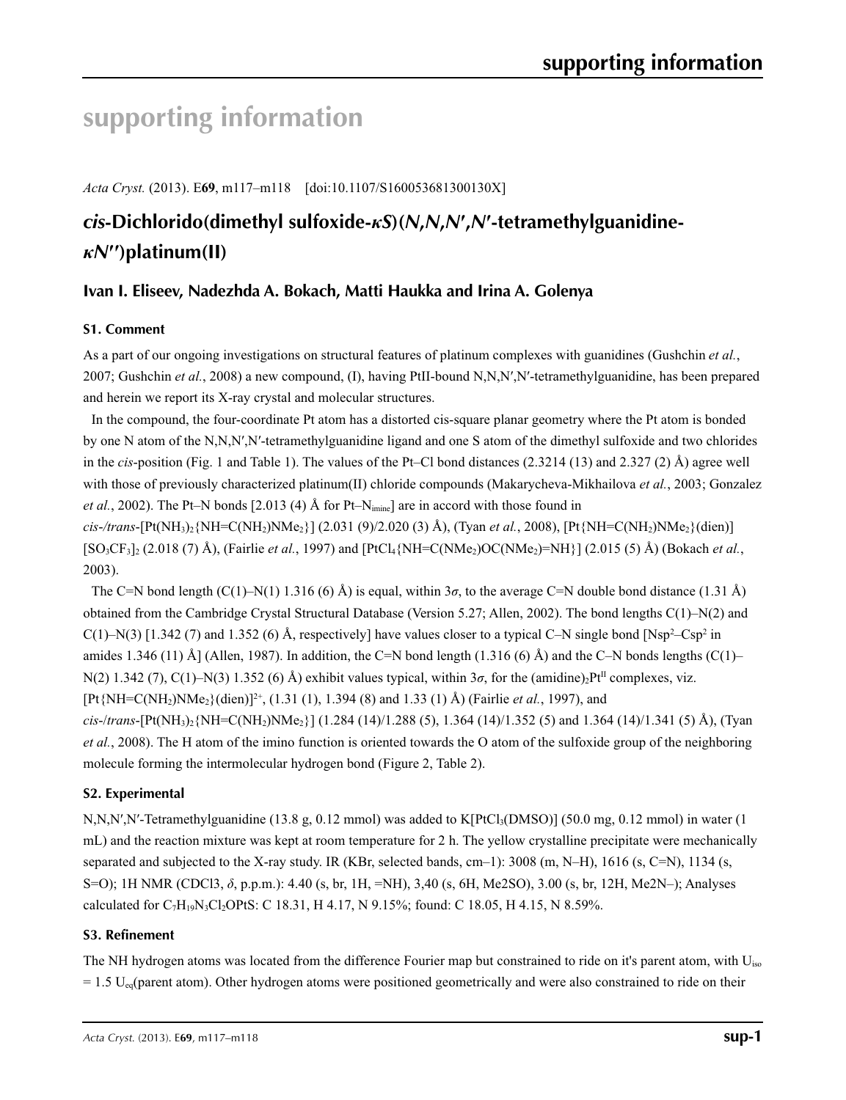# **supporting information**

*Acta Cryst.* (2013). E**69**, m117–m118 [doi:10.1107/S160053681300130X]

# *cis***-Dichlorido(dimethyl sulfoxide-***κS***)(***N***,***N***,***N***′ ,***N***′-tetramethylguanidine***κN***′′)platinum(II)**

# **Ivan I. Eliseev, Nadezhda A. Bokach, Matti Haukka and Irina A. Golenya**

# **S1. Comment**

As a part of our ongoing investigations on structural features of platinum complexes with guanidines (Gushchin *et al.*, 2007; Gushchin *et al.*, 2008) a new compound, (I), having PtII-bound N,N,N′,N′-tetramethylguanidine, has been prepared and herein we report its X-ray crystal and molecular structures.

In the compound, the four-coordinate Pt atom has a distorted cis-square planar geometry where the Pt atom is bonded by one N atom of the N,N,N′,N′-tetramethylguanidine ligand and one S atom of the dimethyl sulfoxide and two chlorides in the *cis*-position (Fig. 1 and Table 1). The values of the Pt–Cl bond distances (2.3214 (13) and 2.327 (2) Å) agree well with those of previously characterized platinum(II) chloride compounds (Makarycheva-Mikhailova *et al.*, 2003; Gonzalez *et al.*, 2002). The Pt–N bonds [2.013 (4) Å for Pt–N<sub>imine</sub>] are in accord with those found in *cis*-*/trans*-[Pt(NH3)2{NH=C(NH2)NMe2}] (2.031 (9)/2.020 (3) Å), (Tyan *et al.*, 2008), [Pt{NH=C(NH2)NMe2}(dien)]  $[SO_3CF_3]_2$  (2.018 (7) Å), (Fairlie *et al.*, 1997) and  $[PCL_4$NH=C(NMe_2)OC(NMe_2)=NH_1[$  (2.015 (5) Å) (Bokach *et al.*,

2003).

The C=N bond length (C(1)–N(1) 1.316 (6) Å) is equal, within  $3\sigma$ , to the average C=N double bond distance (1.31 Å) obtained from the Cambridge Crystal Structural Database (Version 5.27; Allen, 2002). The bond lengths C(1)–N(2) and  $C(1)$ –N(3) [1.342 (7) and 1.352 (6) Å, respectively] have values closer to a typical C–N single bond [Nsp<sup>2</sup>–Csp<sup>2</sup> in amides 1.346 (11) Å] (Allen, 1987). In addition, the C=N bond length (1.316 (6) Å) and the C–N bonds lengths (C(1)– N(2) 1.342 (7), C(1)–N(3) 1.352 (6) Å) exhibit values typical, within 3 $\sigma$ , for the (amidine)<sub>2</sub>Pt<sup>II</sup> complexes, viz.  $[Pt{NH=C(NH<sub>2</sub>)NMe<sub>2</sub>$ <sub>2</sub>(dien)]<sup>2+</sup>, (1.31 (1), 1.394 (8) and 1.33 (1) Å) (Fairlie *et al.*, 1997), and *cis*-/*trans*-[Pt(NH3)2{NH=C(NH2)NMe2}] (1.284 (14)/1.288 (5), 1.364 (14)/1.352 (5) and 1.364 (14)/1.341 (5) Å), (Tyan *et al.*, 2008). The H atom of the imino function is oriented towards the O atom of the sulfoxide group of the neighboring molecule forming the intermolecular hydrogen bond (Figure 2, Table 2).

# **S2. Experimental**

N,N,N',N'-Tetramethylguanidine (13.8 g, 0.12 mmol) was added to K[PtCl<sub>3</sub>(DMSO)] (50.0 mg, 0.12 mmol) in water (1 mL) and the reaction mixture was kept at room temperature for 2 h. The yellow crystalline precipitate were mechanically separated and subjected to the X-ray study. IR (KBr, selected bands, cm–1): 3008 (m, N–H), 1616 (s, C=N), 1134 (s, S=O); 1H NMR (CDCl3, *δ*, p.p.m.): 4.40 (s, br, 1H, =NH), 3,40 (s, 6H, Me2SO), 3.00 (s, br, 12H, Me2N–); Analyses calculated for C<sub>7</sub>H<sub>19</sub>N<sub>3</sub>Cl<sub>2</sub>OPtS: C 18.31, H 4.17, N 9.15%; found: C 18.05, H 4.15, N 8.59%.

## **S3. Refinement**

The NH hydrogen atoms was located from the difference Fourier map but constrained to ride on it's parent atom, with U<sub>iso</sub>  $= 1.5$  U<sub>eq</sub>(parent atom). Other hydrogen atoms were positioned geometrically and were also constrained to ride on their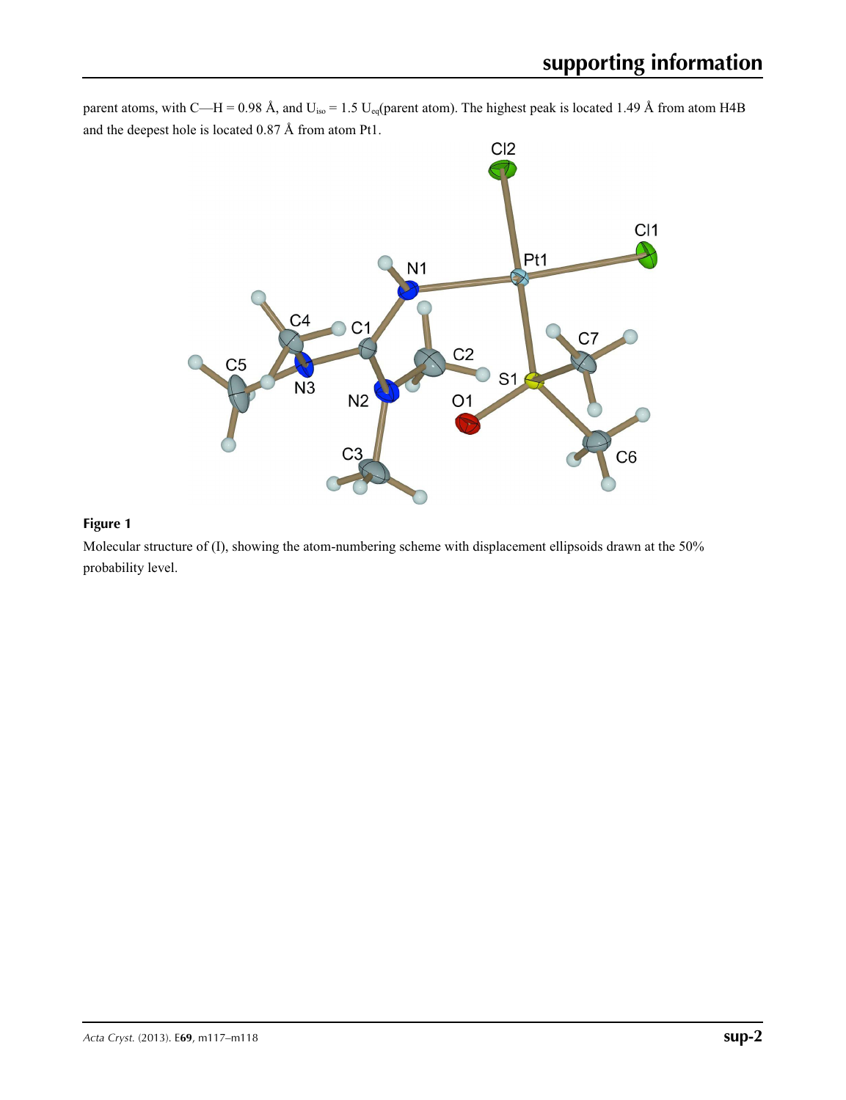parent atoms, with C—H = 0.98 Å, and  $U_{iso} = 1.5 U_{eq}$  (parent atom). The highest peak is located 1.49 Å from atom H4B and the deepest hole is located 0.87 Å from atom Pt1.



## **Figure 1**

Molecular structure of (I), showing the atom-numbering scheme with displacement ellipsoids drawn at the 50% probability level.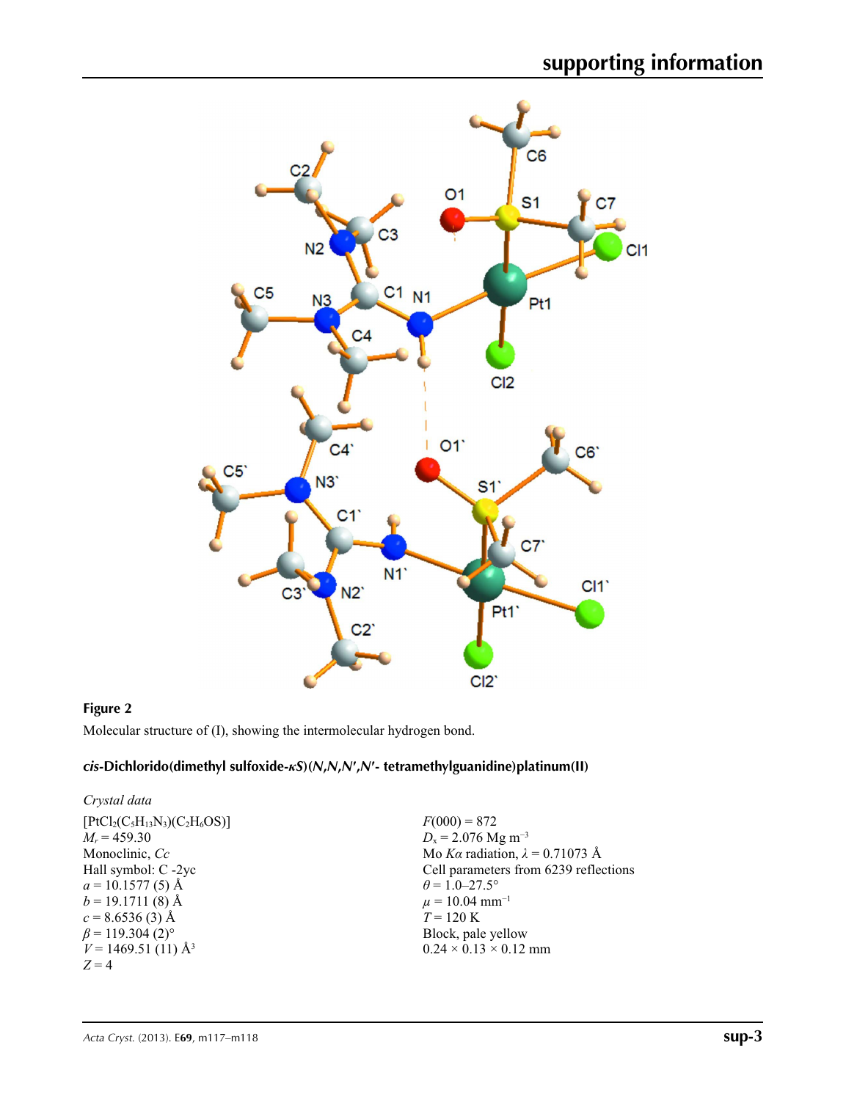

## **Figure 2**

Molecular structure of (I), showing the intermolecular hydrogen bond.

## *cis***-Dichlorido(dimethyl sulfoxide-***κS***)(***N***,***N***,***N***′,***N***′- tetramethylguanidine)platinum(II)**

| Crystal data                       |                                        |
|------------------------------------|----------------------------------------|
| $[PtCl_2(C_5H_{13}N_3)(C_2H_6OS)]$ | $F(000) = 872$                         |
| $M_r = 459.30$                     | $D_x = 2.076$ Mg m <sup>-3</sup>       |
| Monoclinic, Cc                     | Mo Ka radiation, $\lambda = 0.71073$ Å |
| Hall symbol: C -2yc                | Cell parameters from 6239 reflections  |
| $a = 10.1577(5)$ Å                 | $\theta$ = 1.0–27.5°                   |
| $b = 19.1711(8)$ Å                 | $\mu = 10.04$ mm <sup>-1</sup>         |
| $c = 8.6536(3)$ Å                  | $T = 120 \text{ K}$                    |
| $\beta$ = 119.304 (2) <sup>o</sup> | Block, pale yellow                     |
| $V = 1469.51(11)$ Å <sup>3</sup>   | $0.24 \times 0.13 \times 0.12$ mm      |
| $Z=4$                              |                                        |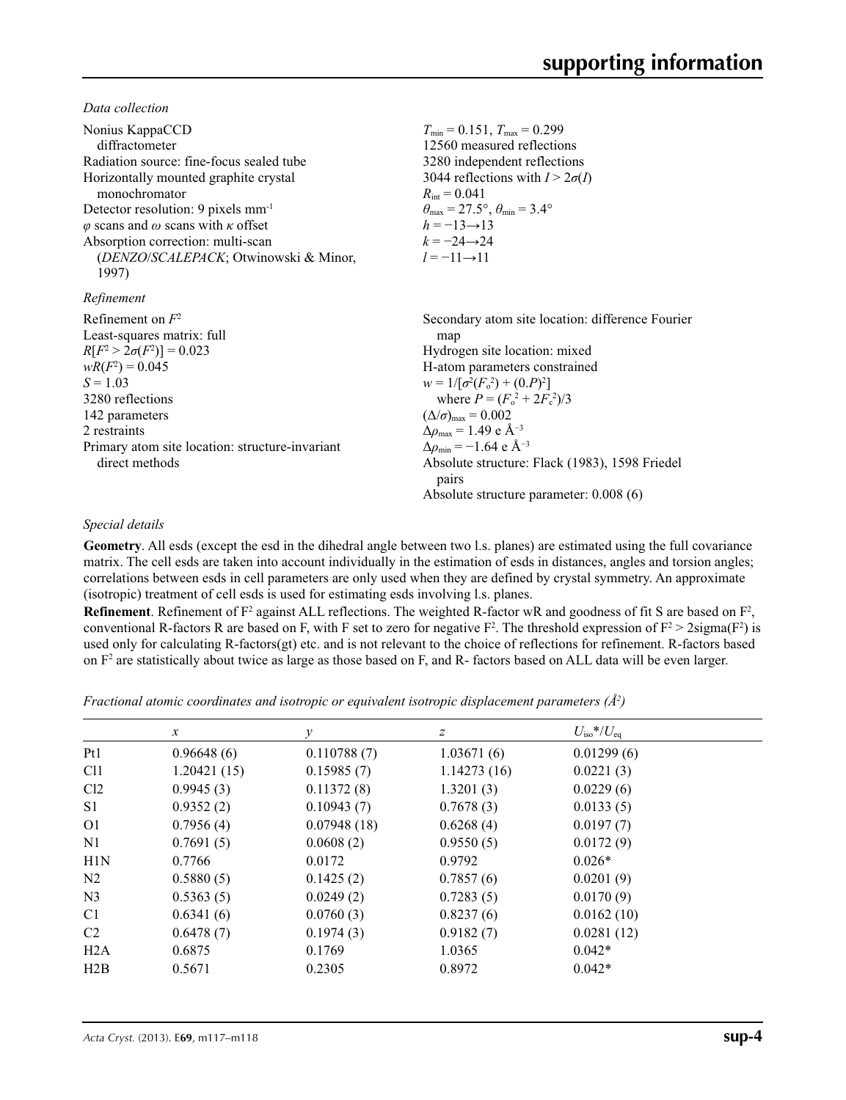*Data collection*

| Nonius KappaCCD<br>diffractometer<br>Radiation source: fine-focus sealed tube<br>Horizontally mounted graphite crystal<br>monochromator<br>Detector resolution: 9 pixels mm <sup>-1</sup><br>$\varphi$ scans and $\omega$ scans with $\kappa$ offset<br>Absorption correction: multi-scan<br>(DENZO/SCALEPACK; Otwinowski & Minor,<br>1997) | $T_{\min}$ = 0.151, $T_{\max}$ = 0.299<br>12560 measured reflections<br>3280 independent reflections<br>3044 reflections with $I > 2\sigma(I)$<br>$R_{\rm int} = 0.041$<br>$\theta_{\text{max}} = 27.5^{\circ}, \theta_{\text{min}} = 3.4^{\circ}$<br>$h = -13 \rightarrow 13$<br>$k = -24 \rightarrow 24$<br>$l = -11 \rightarrow 11$                                                                                                                     |
|---------------------------------------------------------------------------------------------------------------------------------------------------------------------------------------------------------------------------------------------------------------------------------------------------------------------------------------------|------------------------------------------------------------------------------------------------------------------------------------------------------------------------------------------------------------------------------------------------------------------------------------------------------------------------------------------------------------------------------------------------------------------------------------------------------------|
| Refinement                                                                                                                                                                                                                                                                                                                                  |                                                                                                                                                                                                                                                                                                                                                                                                                                                            |
| Refinement on $F^2$<br>Least-squares matrix: full<br>$R[F^2 > 2\sigma(F^2)] = 0.023$<br>$wR(F^2) = 0.045$<br>$S = 1.03$<br>3280 reflections<br>142 parameters<br>2 restraints<br>Primary atom site location: structure-invariant<br>direct methods                                                                                          | Secondary atom site location: difference Fourier<br>map<br>Hydrogen site location: mixed<br>H-atom parameters constrained<br>$w = 1/[\sigma^2(F_0^2) + (0.P)^2]$<br>where $P = (F_o^2 + 2F_c^2)/3$<br>$(\Delta/\sigma)_{\text{max}} = 0.002$<br>$\Delta\rho_{\rm max} = 1.49 \text{ e A}^{-3}$<br>$\Delta \rho_{\rm min} = -1.64$ e Å <sup>-3</sup><br>Absolute structure: Flack (1983), 1598 Friedel<br>pairs<br>Absolute structure parameter: $0.008(6)$ |

### *Special details*

**Geometry**. All esds (except the esd in the dihedral angle between two l.s. planes) are estimated using the full covariance matrix. The cell esds are taken into account individually in the estimation of esds in distances, angles and torsion angles; correlations between esds in cell parameters are only used when they are defined by crystal symmetry. An approximate (isotropic) treatment of cell esds is used for estimating esds involving l.s. planes.

**Refinement**. Refinement of  $F^2$  against ALL reflections. The weighted R-factor wR and goodness of fit S are based on  $F^2$ , conventional R-factors R are based on F, with F set to zero for negative  $F^2$ . The threshold expression of  $F^2 > 2 \text{sigma}(F^2)$  is used only for calculating R-factors(gt) etc. and is not relevant to the choice of reflections for refinement. R-factors based on  $F<sup>2</sup>$  are statistically about twice as large as those based on F, and R- factors based on ALL data will be even larger.

*Fractional atomic coordinates and isotropic or equivalent isotropic displacement parameters (Å<sup>2</sup>)* 

|                 | $\mathcal{X}$ |             | Ζ           | $U_{\rm iso}$ */ $U_{\rm eq}$ |  |
|-----------------|---------------|-------------|-------------|-------------------------------|--|
| Pt1             | 0.96648(6)    | 0.110788(7) | 1.03671(6)  | 0.01299(6)                    |  |
| C <sub>11</sub> | 1.20421(15)   | 0.15985(7)  | 1.14273(16) | 0.0221(3)                     |  |
| Cl <sub>2</sub> | 0.9945(3)     | 0.11372(8)  | 1.3201(3)   | 0.0229(6)                     |  |
| S1              | 0.9352(2)     | 0.10943(7)  | 0.7678(3)   | 0.0133(5)                     |  |
| O <sub>1</sub>  | 0.7956(4)     | 0.07948(18) | 0.6268(4)   | 0.0197(7)                     |  |
| N1              | 0.7691(5)     | 0.0608(2)   | 0.9550(5)   | 0.0172(9)                     |  |
| H1N             | 0.7766        | 0.0172      | 0.9792      | $0.026*$                      |  |
| N <sub>2</sub>  | 0.5880(5)     | 0.1425(2)   | 0.7857(6)   | 0.0201(9)                     |  |
| N <sub>3</sub>  | 0.5363(5)     | 0.0249(2)   | 0.7283(5)   | 0.0170(9)                     |  |
| C <sub>1</sub>  | 0.6341(6)     | 0.0760(3)   | 0.8237(6)   | 0.0162(10)                    |  |
| C2              | 0.6478(7)     | 0.1974(3)   | 0.9182(7)   | 0.0281(12)                    |  |
| H2A             | 0.6875        | 0.1769      | 1.0365      | $0.042*$                      |  |
| H2B             | 0.5671        | 0.2305      | 0.8972      | $0.042*$                      |  |
|                 |               |             |             |                               |  |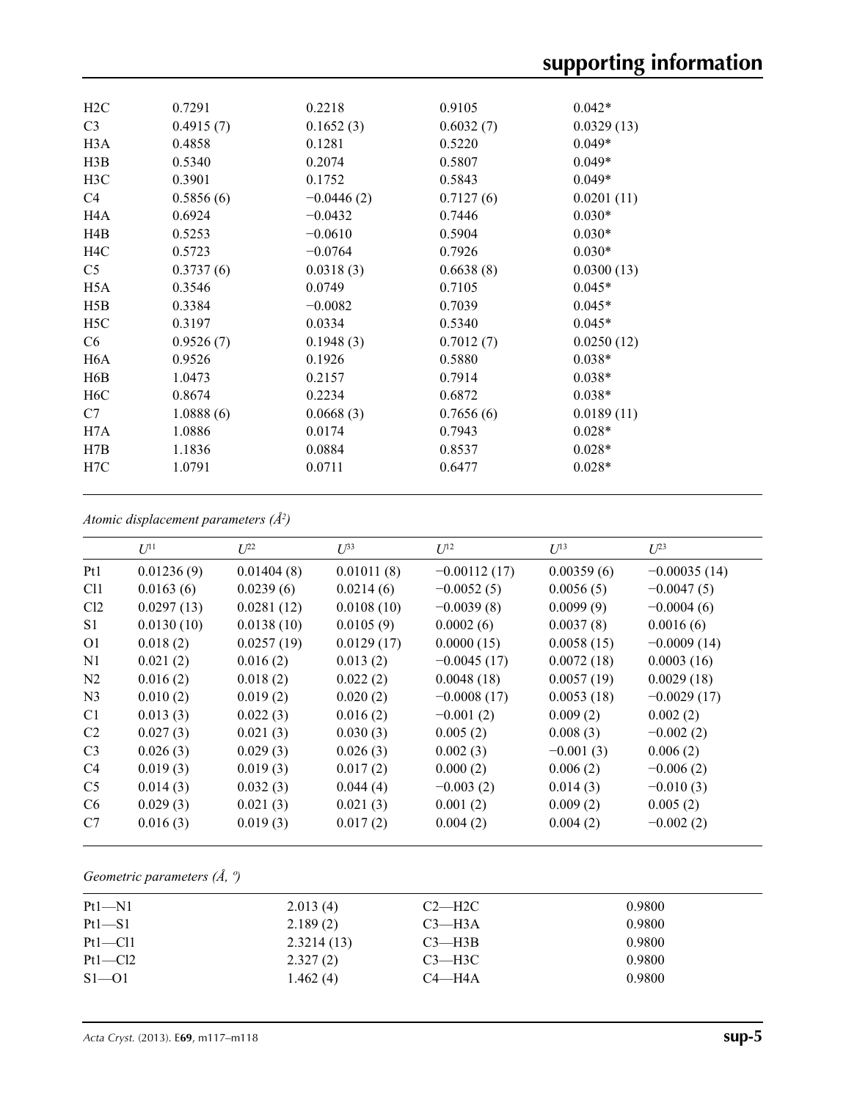| H2C              | 0.7291    | 0.2218       | 0.9105    | $0.042*$   |
|------------------|-----------|--------------|-----------|------------|
| C <sub>3</sub>   | 0.4915(7) | 0.1652(3)    | 0.6032(7) | 0.0329(13) |
| H <sub>3</sub> A | 0.4858    | 0.1281       | 0.5220    | $0.049*$   |
| H3B              | 0.5340    | 0.2074       | 0.5807    | $0.049*$   |
| H3C              | 0.3901    | 0.1752       | 0.5843    | $0.049*$   |
| C4               | 0.5856(6) | $-0.0446(2)$ | 0.7127(6) | 0.0201(11) |
| H4A              | 0.6924    | $-0.0432$    | 0.7446    | $0.030*$   |
| H4B              | 0.5253    | $-0.0610$    | 0.5904    | $0.030*$   |
| H <sub>4</sub> C | 0.5723    | $-0.0764$    | 0.7926    | $0.030*$   |
| C5               | 0.3737(6) | 0.0318(3)    | 0.6638(8) | 0.0300(13) |
| H <sub>5</sub> A | 0.3546    | 0.0749       | 0.7105    | $0.045*$   |
| H5B              | 0.3384    | $-0.0082$    | 0.7039    | $0.045*$   |
| H <sub>5</sub> C | 0.3197    | 0.0334       | 0.5340    | $0.045*$   |
| C <sub>6</sub>   | 0.9526(7) | 0.1948(3)    | 0.7012(7) | 0.0250(12) |
| H6A              | 0.9526    | 0.1926       | 0.5880    | $0.038*$   |
| H <sub>6</sub> B | 1.0473    | 0.2157       | 0.7914    | $0.038*$   |
| H <sub>6</sub> C | 0.8674    | 0.2234       | 0.6872    | $0.038*$   |
| C7               | 1.0888(6) | 0.0668(3)    | 0.7656(6) | 0.0189(11) |
| H7A              | 1.0886    | 0.0174       | 0.7943    | $0.028*$   |
| H7B              | 1.1836    | 0.0884       | 0.8537    | $0.028*$   |
| H7C              | 1.0791    | 0.0711       | 0.6477    | $0.028*$   |
|                  |           |              |           |            |

*Atomic displacement parameters (Å2 )*

|                 | $U^{11}$   | $L^{22}$   | $\mathcal{L}^{\beta 3}$ | $U^{12}$       | $U^{13}$    | $U^{23}$       |
|-----------------|------------|------------|-------------------------|----------------|-------------|----------------|
| Pt1             | 0.01236(9) | 0.01404(8) | 0.01011(8)              | $-0.00112(17)$ | 0.00359(6)  | $-0.00035(14)$ |
| Cl <sub>1</sub> | 0.0163(6)  | 0.0239(6)  | 0.0214(6)               | $-0.0052(5)$   | 0.0056(5)   | $-0.0047(5)$   |
| Cl2             | 0.0297(13) | 0.0281(12) | 0.0108(10)              | $-0.0039(8)$   | 0.0099(9)   | $-0.0004(6)$   |
| S <sub>1</sub>  | 0.0130(10) | 0.0138(10) | 0.0105(9)               | 0.0002(6)      | 0.0037(8)   | 0.0016(6)      |
| O <sub>1</sub>  | 0.018(2)   | 0.0257(19) | 0.0129(17)              | 0.0000(15)     | 0.0058(15)  | $-0.0009(14)$  |
| N1              | 0.021(2)   | 0.016(2)   | 0.013(2)                | $-0.0045(17)$  | 0.0072(18)  | 0.0003(16)     |
| N <sub>2</sub>  | 0.016(2)   | 0.018(2)   | 0.022(2)                | 0.0048(18)     | 0.0057(19)  | 0.0029(18)     |
| N <sub>3</sub>  | 0.010(2)   | 0.019(2)   | 0.020(2)                | $-0.0008(17)$  | 0.0053(18)  | $-0.0029(17)$  |
| C <sub>1</sub>  | 0.013(3)   | 0.022(3)   | 0.016(2)                | $-0.001(2)$    | 0.009(2)    | 0.002(2)       |
| C <sub>2</sub>  | 0.027(3)   | 0.021(3)   | 0.030(3)                | 0.005(2)       | 0.008(3)    | $-0.002(2)$    |
| C <sub>3</sub>  | 0.026(3)   | 0.029(3)   | 0.026(3)                | 0.002(3)       | $-0.001(3)$ | 0.006(2)       |
| C <sub>4</sub>  | 0.019(3)   | 0.019(3)   | 0.017(2)                | 0.000(2)       | 0.006(2)    | $-0.006(2)$    |
| C <sub>5</sub>  | 0.014(3)   | 0.032(3)   | 0.044(4)                | $-0.003(2)$    | 0.014(3)    | $-0.010(3)$    |
| C <sub>6</sub>  | 0.029(3)   | 0.021(3)   | 0.021(3)                | 0.001(2)       | 0.009(2)    | 0.005(2)       |
| C7              | 0.016(3)   | 0.019(3)   | 0.017(2)                | 0.004(2)       | 0.004(2)    | $-0.002(2)$    |
|                 |            |            |                         |                |             |                |

*Geometric parameters (Å, º)*

| $Pt1 - N1$  | 2.013(4)   | $C2-H2C$   | 0.9800 |  |
|-------------|------------|------------|--------|--|
| $Pt1 - S1$  | 2.189(2)   | $C3$ —H3A  | 0.9800 |  |
| $Pt1 - Cl1$ | 2.3214(13) | $C3$ —H3B  | 0.9800 |  |
| $Pt1 - Cl2$ | 2.327(2)   | $C3 - H3C$ | 0.9800 |  |
| $S1 - 01$   | 1.462(4)   | $C4 - H4A$ | 0.9800 |  |
|             |            |            |        |  |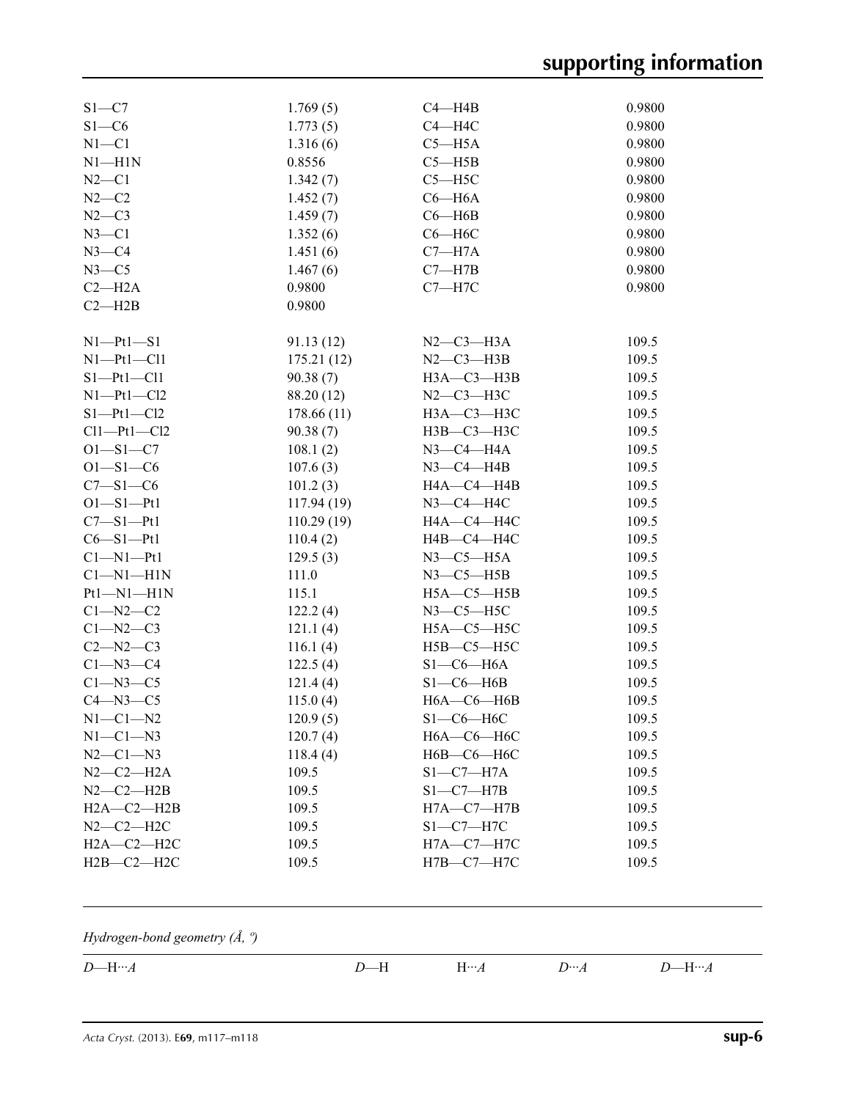# **supporting information**

| $S1 - C7$        | 1.769(5)   | $C4 - H4B$          | 0.9800 |
|------------------|------------|---------------------|--------|
| $S1 - C6$        | 1.773(5)   | $C4 - H4C$          | 0.9800 |
| $N1 - C1$        | 1.316(6)   | $C5 - H5A$          | 0.9800 |
| $N1 - H1N$       | 0.8556     | $C5 - H5B$          | 0.9800 |
| $N2-C1$          | 1.342(7)   | $C5 - H5C$          | 0.9800 |
| $N2-C2$          | 1.452(7)   | $C6 - H6A$          | 0.9800 |
| $N2-C3$          | 1.459(7)   | $C6 - H6B$          | 0.9800 |
| $N3 - C1$        | 1.352(6)   | $C6 - H6C$          | 0.9800 |
| $N3 - C4$        | 1.451(6)   | $C7 - H7A$          | 0.9800 |
| $N3 - C5$        | 1.467(6)   | $C7 - H7B$          | 0.9800 |
| $C2 - H2A$       | 0.9800     | $C7 - H7C$          | 0.9800 |
| $C2 - H2B$       | 0.9800     |                     |        |
| $N1-Pt1-S1$      | 91.13(12)  | $N2-C3-H3A$         | 109.5  |
| $N1 - Pt1 - Cl1$ | 175.21(12) | $N2-C3-H3B$         | 109.5  |
| $S1-Pt1-Cl1$     | 90.38(7)   | НЗА-СЗ-НЗВ          | 109.5  |
| $N1 - Pt1 - Cl2$ | 88.20 (12) | $N2-C3-H3C$         | 109.5  |
| $S1-Pt1-C12$     | 178.66(11) | НЗА-СЗ-НЗС          | 109.5  |
| $Cl1-Pt1-Cl2$    | 90.38(7)   | НЗВ-СЗ-НЗС          | 109.5  |
| $O1 - S1 - C7$   | 108.1(2)   | $N3$ –C4–H4A        | 109.5  |
| $O1 - S1 - C6$   | 107.6(3)   | $N3-C4-H4B$         | 109.5  |
| $C7 - S1 - C6$   | 101.2(3)   | H4A-C4-H4B          | 109.5  |
| $O1 - S1 - Pt1$  | 117.94(19) | $N3$ –C4–H4C        | 109.5  |
| $C7 - S1 - Pt1$  | 110.29(19) | H4A-C4-H4C          | 109.5  |
| $C6 - S1 - Pt1$  | 110.4(2)   | Н4В-С4-Н4С          | 109.5  |
| $Cl-M1-Pt1$      | 129.5(3)   | $N3$ – $C5$ – $H5A$ | 109.5  |
| $Cl-M1-H1N$      | 111.0      | $N3-C5-H5B$         | 109.5  |
| $Pt1 - NI - H1N$ | 115.1      | $H5A - C5 - H5B$    | 109.5  |
| $C1 - N2 - C2$   | 122.2(4)   | $N3$ – $C5$ – $H5C$ | 109.5  |
| $C1 - N2 - C3$   | 121.1(4)   | $H5A-C5-H5C$        | 109.5  |
| $C2 - N2 - C3$   | 116.1(4)   | $H5B - C5 - H5C$    | 109.5  |
| $C1 - N3 - C4$   | 122.5(4)   | $S1-C6-H6A$         | 109.5  |
| $C1 - N3 - C5$   | 121.4(4)   | $S1-C6-H6B$         | 109.5  |
| $C4 - N3 - C5$   | 115.0(4)   | $H6A - C6 - H6B$    | 109.5  |
| $N1-C1-N2$       | 120.9(5)   | $S1-C6-H6C$         | 109.5  |
| $N1-C1-N3$       | 120.7(4)   | $H6A - C6 - H6C$    | 109.5  |
| $N2-C1-N3$       | 118.4(4)   | Н6В-С6-Н6С          | 109.5  |
| $N2-C2-H2A$      | 109.5      | $S1-C7-H7A$         | 109.5  |
| $N2-C2-H2B$      | 109.5      | $S1-C7-H7B$         | 109.5  |
| $H2A - C2 - H2B$ | 109.5      | $H7A - C7 - H7B$    | 109.5  |
| $N2-C2-H2C$      | 109.5      | $S1-C7-H7C$         | 109.5  |
| $H2A-C2-H2C$     | 109.5      | $H7A - C7 - H7C$    | 109.5  |
| $H2B-C2-H2C$     | 109.5      | $H7B - C7 - H7C$    | 109.5  |
|                  |            |                     |        |

*Hydrogen-bond geometry (Å, º)*